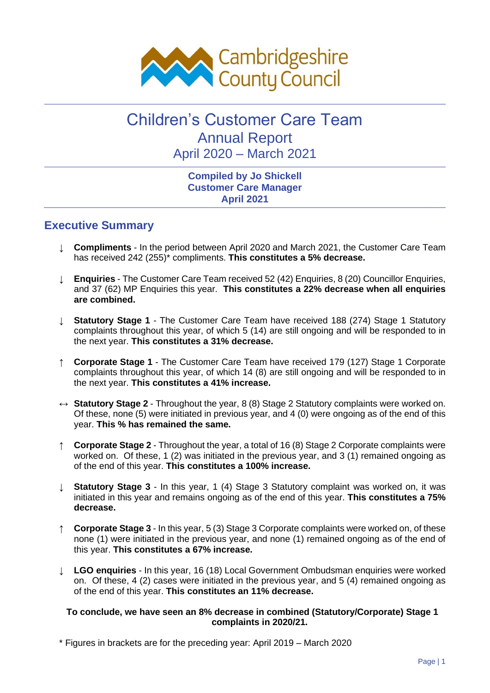

# Children's Customer Care Team Annual Report April 2020 – March 2021

#### **Compiled by Jo Shickell Customer Care Manager April 2021**

**Executive Summary**

- ↓ **Compliments** In the period between April 2020 and March 2021, the Customer Care Team has received 242 (255)\* compliments. **This constitutes a 5% decrease.**
- ↓ **Enquiries** The Customer Care Team received 52 (42) Enquiries, 8 (20) Councillor Enquiries, and 37 (62) MP Enquiries this year. **This constitutes a 22% decrease when all enquiries are combined.**
- ↓ **Statutory Stage 1** The Customer Care Team have received 188 (274) Stage 1 Statutory complaints throughout this year, of which 5 (14) are still ongoing and will be responded to in the next year. **This constitutes a 31% decrease.**
- **Corporate Stage 1** The Customer Care Team have received 179 (127) Stage 1 Corporate complaints throughout this year, of which 14 (8) are still ongoing and will be responded to in the next year. **This constitutes a 41% increase.**
- ↔ **Statutory Stage 2** Throughout the year, 8 (8) Stage 2 Statutory complaints were worked on. Of these, none (5) were initiated in previous year, and 4 (0) were ongoing as of the end of this year. **This % has remained the same.**
- ↑ **Corporate Stage 2** Throughout the year, a total of 16 (8) Stage 2 Corporate complaints were worked on. Of these, 1 (2) was initiated in the previous year, and 3 (1) remained ongoing as of the end of this year. **This constitutes a 100% increase.**
- **Statutory Stage 3** In this year, 1 (4) Stage 3 Statutory complaint was worked on, it was initiated in this year and remains ongoing as of the end of this year. **This constitutes a 75% decrease.**
- ↑ **Corporate Stage 3** In this year, 5 (3) Stage 3 Corporate complaints were worked on, of these none (1) were initiated in the previous year, and none (1) remained ongoing as of the end of this year. **This constitutes a 67% increase.**
- ↓ **LGO enquiries** In this year, 16 (18) Local Government Ombudsman enquiries were worked on. Of these, 4 (2) cases were initiated in the previous year, and 5 (4) remained ongoing as of the end of this year. **This constitutes an 11% decrease.**

#### **To conclude, we have seen an 8% decrease in combined (Statutory/Corporate) Stage 1 complaints in 2020/21.**

\* Figures in brackets are for the preceding year: April 2019 – March 2020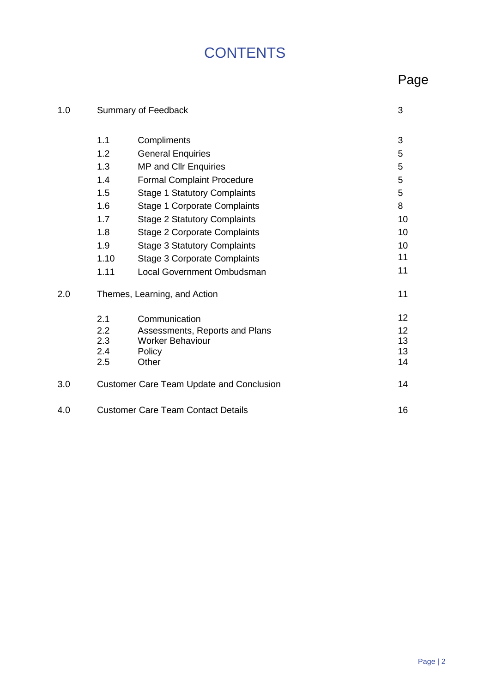# **CONTENTS**

# Page

| 1.0 | Summary of Feedback                             |                                     | 3  |
|-----|-------------------------------------------------|-------------------------------------|----|
|     | 1.1                                             | Compliments                         | 3  |
|     | 1.2                                             | <b>General Enquiries</b>            | 5  |
|     | 1.3                                             | <b>MP and Cllr Enquiries</b>        | 5  |
|     | 1.4                                             | <b>Formal Complaint Procedure</b>   | 5  |
|     | 1.5                                             | <b>Stage 1 Statutory Complaints</b> | 5  |
|     | 1.6                                             | <b>Stage 1 Corporate Complaints</b> | 8  |
|     | 1.7                                             | <b>Stage 2 Statutory Complaints</b> | 10 |
|     | 1.8                                             | <b>Stage 2 Corporate Complaints</b> | 10 |
|     | 1.9                                             | <b>Stage 3 Statutory Complaints</b> | 10 |
|     | 1.10                                            | <b>Stage 3 Corporate Complaints</b> | 11 |
|     | 1.11                                            | <b>Local Government Ombudsman</b>   | 11 |
| 2.0 | Themes, Learning, and Action                    |                                     | 11 |
|     | 2.1                                             | Communication                       | 12 |
|     | 2.2                                             | Assessments, Reports and Plans      | 12 |
|     | 2.3                                             | <b>Worker Behaviour</b>             | 13 |
|     | 2.4                                             | Policy                              | 13 |
|     | 2.5                                             | Other                               | 14 |
| 3.0 | <b>Customer Care Team Update and Conclusion</b> |                                     | 14 |
| 4.0 | <b>Customer Care Team Contact Details</b>       |                                     | 16 |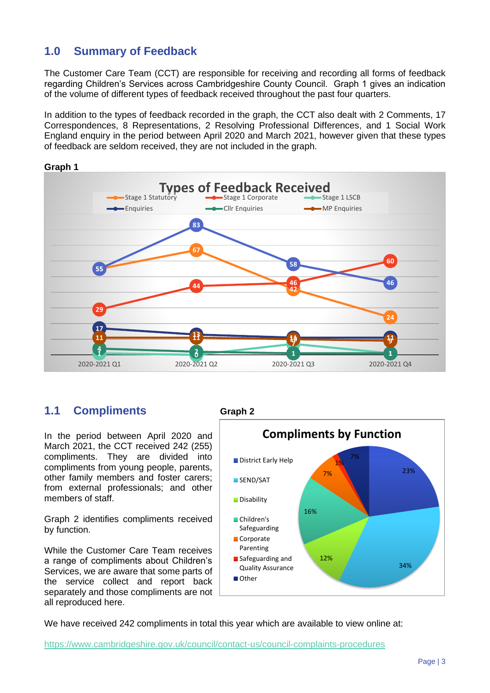### **1.0 Summary of Feedback**

The Customer Care Team (CCT) are responsible for receiving and recording all forms of feedback regarding Children's Services across Cambridgeshire County Council. Graph 1 gives an indication of the volume of different types of feedback received throughout the past four quarters.

In addition to the types of feedback recorded in the graph, the CCT also dealt with 2 Comments, 17 Correspondences, 8 Representations, 2 Resolving Professional Differences, and 1 Social Work England enquiry in the period between April 2020 and March 2021, however given that these types of feedback are seldom received, they are not included in the graph.



### **Graph 1**

### **1.1 Compliments Graph 2**

In the period between April 2020 and March 2021, the CCT received 242 (255) compliments. They are divided into compliments from young people, parents, other family members and foster carers; from external professionals; and other members of staff.

Graph 2 identifies compliments received by function.

While the Customer Care Team receives a range of compliments about Children's Services, we are aware that some parts of the service collect and report back separately and those compliments are not all reproduced here.



We have received 242 compliments in total this year which are available to view online at:

<https://www.cambridgeshire.gov.uk/council/contact-us/council-complaints-procedures>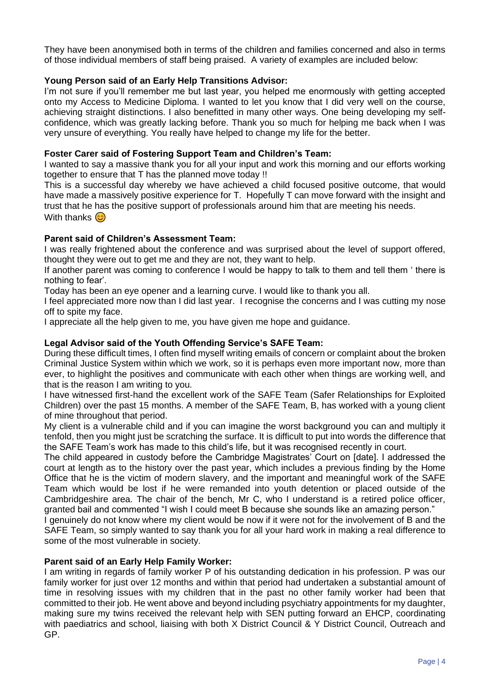They have been anonymised both in terms of the children and families concerned and also in terms of those individual members of staff being praised. A variety of examples are included below:

#### **Young Person said of an Early Help Transitions Advisor:**

I'm not sure if you'll remember me but last year, you helped me enormously with getting accepted onto my Access to Medicine Diploma. I wanted to let you know that I did very well on the course, achieving straight distinctions. I also benefitted in many other ways. One being developing my selfconfidence, which was greatly lacking before. Thank you so much for helping me back when I was very unsure of everything. You really have helped to change my life for the better.

#### **Foster Carer said of Fostering Support Team and Children's Team:**

I wanted to say a massive thank you for all your input and work this morning and our efforts working together to ensure that T has the planned move today !!

This is a successful day whereby we have achieved a child focused positive outcome, that would have made a massively positive experience for T. Hopefully T can move forward with the insight and trust that he has the positive support of professionals around him that are meeting his needs. With thanks  $\odot$ 

#### **Parent said of Children's Assessment Team:**

I was really frightened about the conference and was surprised about the level of support offered, thought they were out to get me and they are not, they want to help.

If another parent was coming to conference I would be happy to talk to them and tell them ' there is nothing to fear'.

Today has been an eye opener and a learning curve. I would like to thank you all.

I feel appreciated more now than I did last year. I recognise the concerns and I was cutting my nose off to spite my face.

I appreciate all the help given to me, you have given me hope and guidance.

#### **Legal Advisor said of the Youth Offending Service's SAFE Team:**

During these difficult times, I often find myself writing emails of concern or complaint about the broken Criminal Justice System within which we work, so it is perhaps even more important now, more than ever, to highlight the positives and communicate with each other when things are working well, and that is the reason I am writing to you.

I have witnessed first-hand the excellent work of the SAFE Team (Safer Relationships for Exploited Children) over the past 15 months. A member of the SAFE Team, B, has worked with a young client of mine throughout that period.

My client is a vulnerable child and if you can imagine the worst background you can and multiply it tenfold, then you might just be scratching the surface. It is difficult to put into words the difference that the SAFE Team's work has made to this child's life, but it was recognised recently in court.

The child appeared in custody before the Cambridge Magistrates' Court on [date]. I addressed the court at length as to the history over the past year, which includes a previous finding by the Home Office that he is the victim of modern slavery, and the important and meaningful work of the SAFE Team which would be lost if he were remanded into youth detention or placed outside of the Cambridgeshire area. The chair of the bench, Mr C, who I understand is a retired police officer, granted bail and commented "I wish I could meet B because she sounds like an amazing person."

I genuinely do not know where my client would be now if it were not for the involvement of B and the SAFE Team, so simply wanted to say thank you for all your hard work in making a real difference to some of the most vulnerable in society.

#### **Parent said of an Early Help Family Worker:**

I am writing in regards of family worker P of his outstanding dedication in his profession. P was our family worker for just over 12 months and within that period had undertaken a substantial amount of time in resolving issues with my children that in the past no other family worker had been that committed to their job. He went above and beyond including psychiatry appointments for my daughter, making sure my twins received the relevant help with SEN putting forward an EHCP, coordinating with paediatrics and school, liaising with both X District Council & Y District Council, Outreach and GP.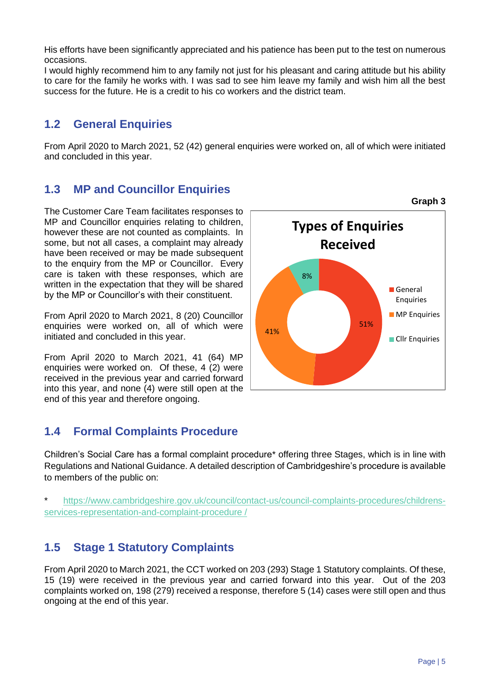His efforts have been significantly appreciated and his patience has been put to the test on numerous occasions.

I would highly recommend him to any family not just for his pleasant and caring attitude but his ability to care for the family he works with. I was sad to see him leave my family and wish him all the best success for the future. He is a credit to his co workers and the district team.

### **1.2 General Enquiries**

From April 2020 to March 2021, 52 (42) general enquiries were worked on, all of which were initiated and concluded in this year.

### **1.3 MP and Councillor Enquiries**

The Customer Care Team facilitates responses to MP and Councillor enquiries relating to children, however these are not counted as complaints. In some, but not all cases, a complaint may already have been received or may be made subsequent to the enquiry from the MP or Councillor. Every care is taken with these responses, which are written in the expectation that they will be shared by the MP or Councillor's with their constituent.

From April 2020 to March 2021, 8 (20) Councillor enquiries were worked on, all of which were initiated and concluded in this year.

From April 2020 to March 2021, 41 (64) MP enquiries were worked on. Of these, 4 (2) were received in the previous year and carried forward into this year, and none (4) were still open at the end of this year and therefore ongoing.

### **1.4 Formal Complaints Procedure**

Children's Social Care has a formal complaint procedure\* offering three Stages, which is in line with Regulations and National Guidance. A detailed description of Cambridgeshire's procedure is available to members of the public on:

\* [https://www.cambridgeshire.gov.uk/council/contact-us/council-complaints-procedures/childrens](https://www.cambridgeshire.gov.uk/council/contact-us/council-complaints-procedures/childrens-services-representation-and-complaint-procedure%20/)[services-representation-and-complaint-procedure /](https://www.cambridgeshire.gov.uk/council/contact-us/council-complaints-procedures/childrens-services-representation-and-complaint-procedure%20/)

### **1.5 Stage 1 Statutory Complaints**

From April 2020 to March 2021, the CCT worked on 203 (293) Stage 1 Statutory complaints. Of these, 15 (19) were received in the previous year and carried forward into this year. Out of the 203 complaints worked on, 198 (279) received a response, therefore 5 (14) cases were still open and thus ongoing at the end of this year.

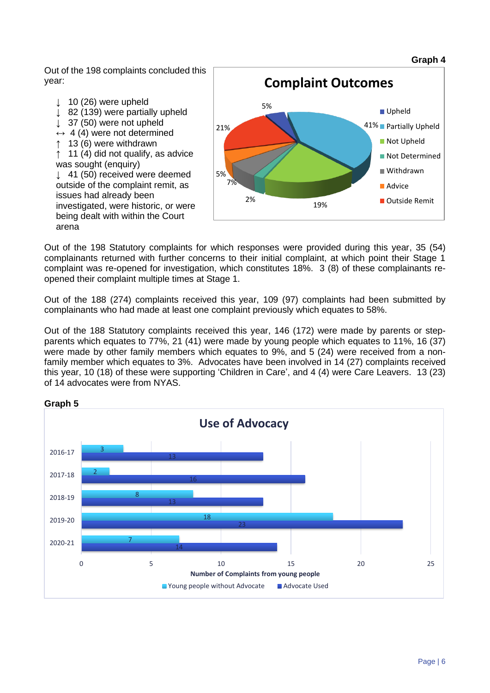Out of the 198 complaints concluded this year:

- $\downarrow$  10 (26) were upheld
- ↓ 82 (139) were partially upheld
- ↓ 37 (50) were not upheld
- $\leftrightarrow$  4 (4) were not determined
- 13 (6) were withdrawn

11 (4) did not qualify, as advice was sought (enquiry)

↓ 41 (50) received were deemed outside of the complaint remit, as issues had already been investigated, were historic, or were being dealt with within the Court arena



Out of the 198 Statutory complaints for which responses were provided during this year, 35 (54) complainants returned with further concerns to their initial complaint, at which point their Stage 1 complaint was re-opened for investigation, which constitutes 18%. 3 (8) of these complainants reopened their complaint multiple times at Stage 1.

Out of the 188 (274) complaints received this year, 109 (97) complaints had been submitted by complainants who had made at least one complaint previously which equates to 58%.

Out of the 188 Statutory complaints received this year, 146 (172) were made by parents or stepparents which equates to 77%, 21 (41) were made by young people which equates to 11%, 16 (37) were made by other family members which equates to 9%, and 5 (24) were received from a nonfamily member which equates to 3%. Advocates have been involved in 14 (27) complaints received this year, 10 (18) of these were supporting 'Children in Care', and 4 (4) were Care Leavers. 13 (23) of 14 advocates were from NYAS.



#### **Graph 5**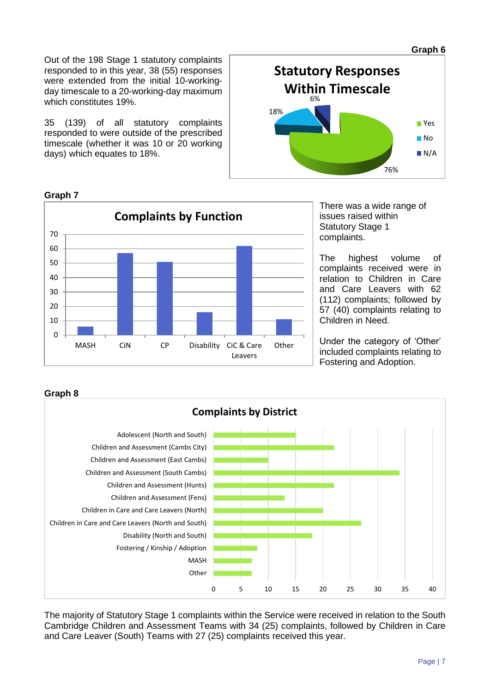**Graph 6**

Out of the 198 Stage 1 statutory complaints responded to in this year, 38 (55) responses were extended from the initial 10-workingday timescale to a 20-working-day maximum which constitutes 19%.

35 (139) of all statutory complaints responded to were outside of the prescribed timescale (whether it was 10 or 20 working days) which equates to 18%.



**Graph 7**



There was a wide range of issues raised within Statutory Stage 1 complaints.

The highest volume of complaints received were in relation to Children in Care and Care Leavers with 62 (112) complaints; followed by 57 (40) complaints relating to Children in Need.

Under the category of 'Other' included complaints relating to Fostering and Adoption.



The majority of Statutory Stage 1 complaints within the Service were received in relation to the South Cambridge Children and Assessment Teams with 34 (25) complaints, followed by Children in Care and Care Leaver (South) Teams with 27 (25) complaints received this year.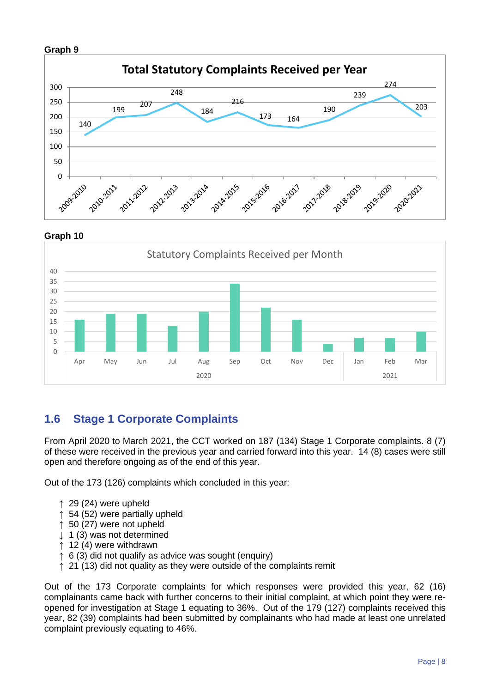#### **Graph 9**



**Graph 10**



### **1.6 Stage 1 Corporate Complaints**

From April 2020 to March 2021, the CCT worked on 187 (134) Stage 1 Corporate complaints. 8 (7) of these were received in the previous year and carried forward into this year. 14 (8) cases were still open and therefore ongoing as of the end of this year.

Out of the 173 (126) complaints which concluded in this year:

- $\uparrow$  29 (24) were upheld
- ↑ 54 (52) were partially upheld
- ↑ 50 (27) were not upheld
- ↓ 1 (3) was not determined
- ↑ 12 (4) were withdrawn
- ↑ 6 (3) did not qualify as advice was sought (enquiry)
- ↑ 21 (13) did not quality as they were outside of the complaints remit

Out of the 173 Corporate complaints for which responses were provided this year, 62 (16) complainants came back with further concerns to their initial complaint, at which point they were reopened for investigation at Stage 1 equating to 36%. Out of the 179 (127) complaints received this year, 82 (39) complaints had been submitted by complainants who had made at least one unrelated complaint previously equating to 46%.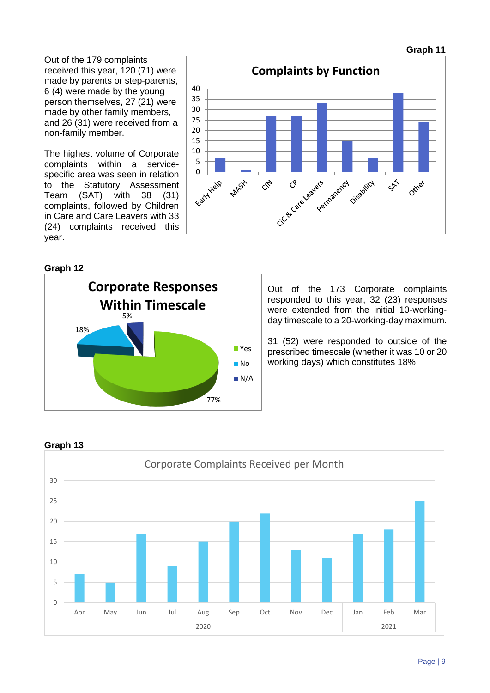Out of the 179 complaints received this year, 120 (71) were made by parents or step-parents, 6 (4) were made by the young person themselves, 27 (21) were made by other family members, and 26 (31) were received from a non-family member.

The highest volume of Corporate complaints within a servicespecific area was seen in relation to the Statutory Assessment Team (SAT) with 38 (31) complaints, followed by Children in Care and Care Leavers with 33 (24) complaints received this year.



#### **Graph 12**



Out of the 173 Corporate complaints responded to this year, 32 (23) responses were extended from the initial 10-workingday timescale to a 20-working-day maximum.

31 (52) were responded to outside of the prescribed timescale (whether it was 10 or 20 working days) which constitutes 18%.



**Graph 13**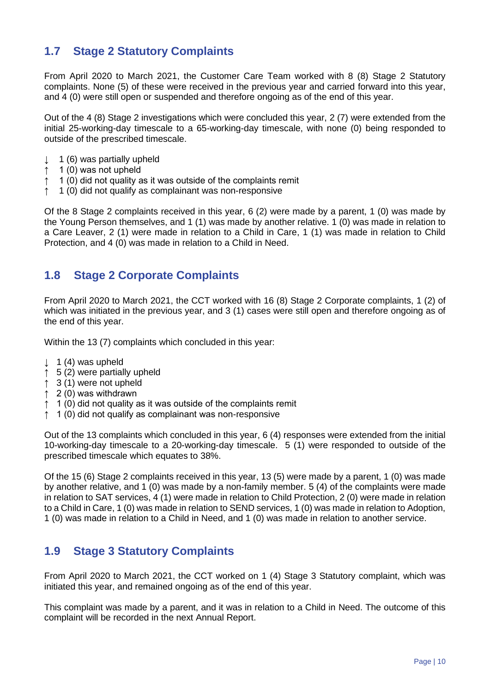### **1.7 Stage 2 Statutory Complaints**

From April 2020 to March 2021, the Customer Care Team worked with 8 (8) Stage 2 Statutory complaints. None (5) of these were received in the previous year and carried forward into this year, and 4 (0) were still open or suspended and therefore ongoing as of the end of this year.

Out of the 4 (8) Stage 2 investigations which were concluded this year, 2 (7) were extended from the initial 25-working-day timescale to a 65-working-day timescale, with none (0) being responded to outside of the prescribed timescale.

- ↓ 1 (6) was partially upheld
- ↑ 1 (0) was not upheld
- ↑ 1 (0) did not quality as it was outside of the complaints remit
- ↑ 1 (0) did not qualify as complainant was non-responsive

Of the 8 Stage 2 complaints received in this year, 6 (2) were made by a parent, 1 (0) was made by the Young Person themselves, and 1 (1) was made by another relative. 1 (0) was made in relation to a Care Leaver, 2 (1) were made in relation to a Child in Care, 1 (1) was made in relation to Child Protection, and 4 (0) was made in relation to a Child in Need.

### **1.8 Stage 2 Corporate Complaints**

From April 2020 to March 2021, the CCT worked with 16 (8) Stage 2 Corporate complaints, 1 (2) of which was initiated in the previous year, and 3 (1) cases were still open and therefore ongoing as of the end of this year.

Within the 13 (7) complaints which concluded in this year:

- $\downarrow$  1 (4) was upheld
- ↑ 5 (2) were partially upheld
- ↑ 3 (1) were not upheld
- ↑ 2 (0) was withdrawn
- ↑ 1 (0) did not quality as it was outside of the complaints remit
- ↑ 1 (0) did not qualify as complainant was non-responsive

Out of the 13 complaints which concluded in this year, 6 (4) responses were extended from the initial 10-working-day timescale to a 20-working-day timescale. 5 (1) were responded to outside of the prescribed timescale which equates to 38%.

Of the 15 (6) Stage 2 complaints received in this year, 13 (5) were made by a parent, 1 (0) was made by another relative, and 1 (0) was made by a non-family member. 5 (4) of the complaints were made in relation to SAT services, 4 (1) were made in relation to Child Protection, 2 (0) were made in relation to a Child in Care, 1 (0) was made in relation to SEND services, 1 (0) was made in relation to Adoption, 1 (0) was made in relation to a Child in Need, and 1 (0) was made in relation to another service.

### **1.9 Stage 3 Statutory Complaints**

From April 2020 to March 2021, the CCT worked on 1 (4) Stage 3 Statutory complaint, which was initiated this year, and remained ongoing as of the end of this year.

This complaint was made by a parent, and it was in relation to a Child in Need. The outcome of this complaint will be recorded in the next Annual Report.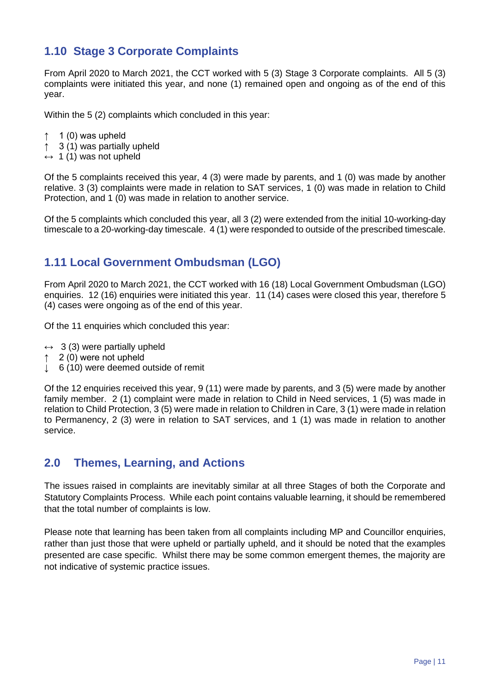### **1.10 Stage 3 Corporate Complaints**

From April 2020 to March 2021, the CCT worked with 5 (3) Stage 3 Corporate complaints. All 5 (3) complaints were initiated this year, and none (1) remained open and ongoing as of the end of this year.

Within the 5 (2) complaints which concluded in this year:

- $\uparrow$  1 (0) was upheld
- ↑ 3 (1) was partially upheld
- $\leftrightarrow$  1 (1) was not upheld

Of the 5 complaints received this year, 4 (3) were made by parents, and 1 (0) was made by another relative. 3 (3) complaints were made in relation to SAT services, 1 (0) was made in relation to Child Protection, and 1 (0) was made in relation to another service.

Of the 5 complaints which concluded this year, all 3 (2) were extended from the initial 10-working-day timescale to a 20-working-day timescale. 4 (1) were responded to outside of the prescribed timescale.

### **1.11 Local Government Ombudsman (LGO)**

From April 2020 to March 2021, the CCT worked with 16 (18) Local Government Ombudsman (LGO) enquiries. 12 (16) enquiries were initiated this year. 11 (14) cases were closed this year, therefore 5 (4) cases were ongoing as of the end of this year.

Of the 11 enquiries which concluded this year:

- $\leftrightarrow$  3 (3) were partially upheld
- ↑ 2 (0) were not upheld
- ↓ 6 (10) were deemed outside of remit

Of the 12 enquiries received this year, 9 (11) were made by parents, and 3 (5) were made by another family member. 2 (1) complaint were made in relation to Child in Need services, 1 (5) was made in relation to Child Protection, 3 (5) were made in relation to Children in Care, 3 (1) were made in relation to Permanency, 2 (3) were in relation to SAT services, and 1 (1) was made in relation to another service.

### **2.0 Themes, Learning, and Actions**

The issues raised in complaints are inevitably similar at all three Stages of both the Corporate and Statutory Complaints Process. While each point contains valuable learning, it should be remembered that the total number of complaints is low.

Please note that learning has been taken from all complaints including MP and Councillor enquiries, rather than just those that were upheld or partially upheld, and it should be noted that the examples presented are case specific. Whilst there may be some common emergent themes, the majority are not indicative of systemic practice issues.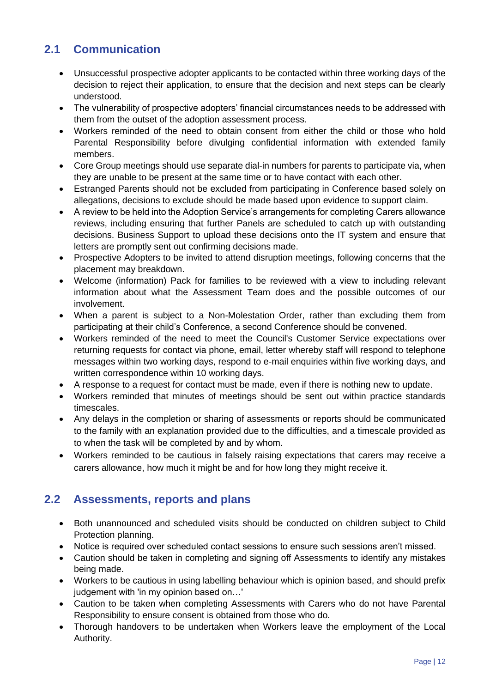## **2.1 Communication**

- Unsuccessful prospective adopter applicants to be contacted within three working days of the decision to reject their application, to ensure that the decision and next steps can be clearly understood.
- The vulnerability of prospective adopters' financial circumstances needs to be addressed with them from the outset of the adoption assessment process.
- Workers reminded of the need to obtain consent from either the child or those who hold Parental Responsibility before divulging confidential information with extended family members.
- Core Group meetings should use separate dial-in numbers for parents to participate via, when they are unable to be present at the same time or to have contact with each other.
- Estranged Parents should not be excluded from participating in Conference based solely on allegations, decisions to exclude should be made based upon evidence to support claim.
- A review to be held into the Adoption Service's arrangements for completing Carers allowance reviews, including ensuring that further Panels are scheduled to catch up with outstanding decisions. Business Support to upload these decisions onto the IT system and ensure that letters are promptly sent out confirming decisions made.
- Prospective Adopters to be invited to attend disruption meetings, following concerns that the placement may breakdown.
- Welcome (information) Pack for families to be reviewed with a view to including relevant information about what the Assessment Team does and the possible outcomes of our involvement.
- When a parent is subject to a Non-Molestation Order, rather than excluding them from participating at their child's Conference, a second Conference should be convened.
- Workers reminded of the need to meet the Council's Customer Service expectations over returning requests for contact via phone, email, letter whereby staff will respond to telephone messages within two working days, respond to e-mail enquiries within five working days, and written correspondence within 10 working days.
- A response to a request for contact must be made, even if there is nothing new to update.
- Workers reminded that minutes of meetings should be sent out within practice standards timescales.
- Any delays in the completion or sharing of assessments or reports should be communicated to the family with an explanation provided due to the difficulties, and a timescale provided as to when the task will be completed by and by whom.
- Workers reminded to be cautious in falsely raising expectations that carers may receive a carers allowance, how much it might be and for how long they might receive it.

### **2.2 Assessments, reports and plans**

- Both unannounced and scheduled visits should be conducted on children subject to Child Protection planning.
- Notice is required over scheduled contact sessions to ensure such sessions aren't missed.
- Caution should be taken in completing and signing off Assessments to identify any mistakes being made.
- Workers to be cautious in using labelling behaviour which is opinion based, and should prefix judgement with 'in my opinion based on…'
- Caution to be taken when completing Assessments with Carers who do not have Parental Responsibility to ensure consent is obtained from those who do.
- Thorough handovers to be undertaken when Workers leave the employment of the Local Authority.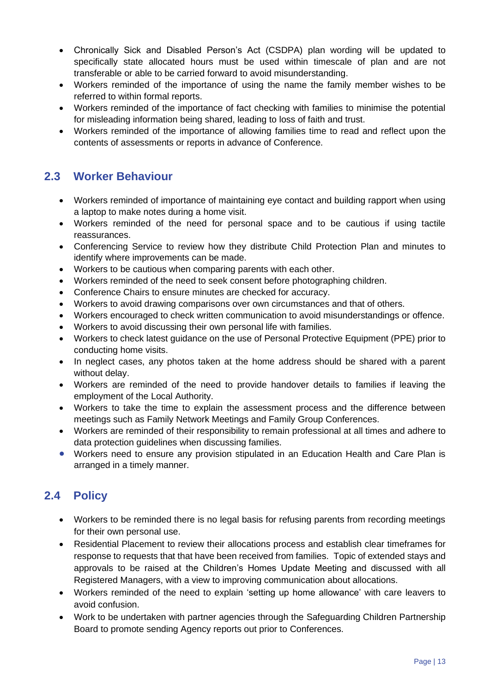- Chronically Sick and Disabled Person's Act (CSDPA) plan wording will be updated to specifically state allocated hours must be used within timescale of plan and are not transferable or able to be carried forward to avoid misunderstanding.
- Workers reminded of the importance of using the name the family member wishes to be referred to within formal reports.
- Workers reminded of the importance of fact checking with families to minimise the potential for misleading information being shared, leading to loss of faith and trust.
- Workers reminded of the importance of allowing families time to read and reflect upon the contents of assessments or reports in advance of Conference.

### **2.3 Worker Behaviour**

- Workers reminded of importance of maintaining eye contact and building rapport when using a laptop to make notes during a home visit.
- Workers reminded of the need for personal space and to be cautious if using tactile reassurances.
- Conferencing Service to review how they distribute Child Protection Plan and minutes to identify where improvements can be made.
- Workers to be cautious when comparing parents with each other.
- Workers reminded of the need to seek consent before photographing children.
- Conference Chairs to ensure minutes are checked for accuracy.
- Workers to avoid drawing comparisons over own circumstances and that of others.
- Workers encouraged to check written communication to avoid misunderstandings or offence.
- Workers to avoid discussing their own personal life with families.
- Workers to check latest guidance on the use of Personal Protective Equipment (PPE) prior to conducting home visits.
- In neglect cases, any photos taken at the home address should be shared with a parent without delay.
- Workers are reminded of the need to provide handover details to families if leaving the employment of the Local Authority.
- Workers to take the time to explain the assessment process and the difference between meetings such as Family Network Meetings and Family Group Conferences.
- Workers are reminded of their responsibility to remain professional at all times and adhere to data protection guidelines when discussing families.
- Workers need to ensure any provision stipulated in an Education Health and Care Plan is arranged in a timely manner.

### **2.4 Policy**

- Workers to be reminded there is no legal basis for refusing parents from recording meetings for their own personal use.
- Residential Placement to review their allocations process and establish clear timeframes for response to requests that that have been received from families. Topic of extended stays and approvals to be raised at the Children's Homes Update Meeting and discussed with all Registered Managers, with a view to improving communication about allocations.
- Workers reminded of the need to explain 'setting up home allowance' with care leavers to avoid confusion.
- Work to be undertaken with partner agencies through the Safeguarding Children Partnership Board to promote sending Agency reports out prior to Conferences.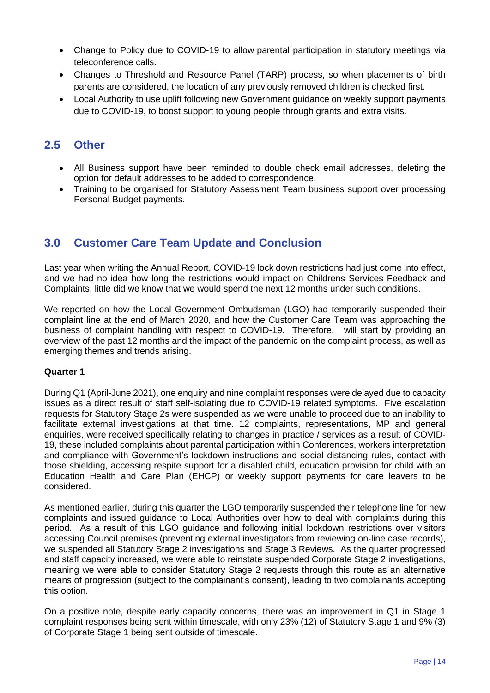- Change to Policy due to COVID-19 to allow parental participation in statutory meetings via teleconference calls.
- Changes to Threshold and Resource Panel (TARP) process, so when placements of birth parents are considered, the location of any previously removed children is checked first.
- Local Authority to use uplift following new Government guidance on weekly support payments due to COVID-19, to boost support to young people through grants and extra visits.

### **2.5 Other**

- All Business support have been reminded to double check email addresses, deleting the option for default addresses to be added to correspondence.
- Training to be organised for Statutory Assessment Team business support over processing Personal Budget payments.

### **3.0 Customer Care Team Update and Conclusion**

Last year when writing the Annual Report, COVID-19 lock down restrictions had just come into effect, and we had no idea how long the restrictions would impact on Childrens Services Feedback and Complaints, little did we know that we would spend the next 12 months under such conditions.

We reported on how the Local Government Ombudsman (LGO) had temporarily suspended their complaint line at the end of March 2020, and how the Customer Care Team was approaching the business of complaint handling with respect to COVID-19. Therefore, I will start by providing an overview of the past 12 months and the impact of the pandemic on the complaint process, as well as emerging themes and trends arising.

#### **Quarter 1**

During Q1 (April-June 2021), one enquiry and nine complaint responses were delayed due to capacity issues as a direct result of staff self-isolating due to COVID-19 related symptoms. Five escalation requests for Statutory Stage 2s were suspended as we were unable to proceed due to an inability to facilitate external investigations at that time. 12 complaints, representations, MP and general enquiries, were received specifically relating to changes in practice / services as a result of COVID-19, these included complaints about parental participation within Conferences, workers interpretation and compliance with Government's lockdown instructions and social distancing rules, contact with those shielding, accessing respite support for a disabled child, education provision for child with an Education Health and Care Plan (EHCP) or weekly support payments for care leavers to be considered.

As mentioned earlier, during this quarter the LGO temporarily suspended their telephone line for new complaints and issued guidance to Local Authorities over how to deal with complaints during this period. As a result of this LGO guidance and following initial lockdown restrictions over visitors accessing Council premises (preventing external investigators from reviewing on-line case records), we suspended all Statutory Stage 2 investigations and Stage 3 Reviews. As the quarter progressed and staff capacity increased, we were able to reinstate suspended Corporate Stage 2 investigations, meaning we were able to consider Statutory Stage 2 requests through this route as an alternative means of progression (subject to the complainant's consent), leading to two complainants accepting this option.

On a positive note, despite early capacity concerns, there was an improvement in Q1 in Stage 1 complaint responses being sent within timescale, with only 23% (12) of Statutory Stage 1 and 9% (3) of Corporate Stage 1 being sent outside of timescale.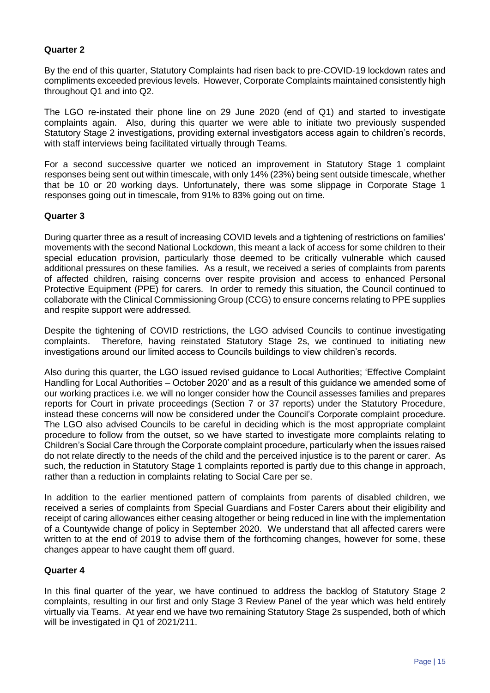#### **Quarter 2**

By the end of this quarter, Statutory Complaints had risen back to pre-COVID-19 lockdown rates and compliments exceeded previous levels. However, Corporate Complaints maintained consistently high throughout Q1 and into Q2.

The LGO re-instated their phone line on 29 June 2020 (end of Q1) and started to investigate complaints again. Also, during this quarter we were able to initiate two previously suspended Statutory Stage 2 investigations, providing external investigators access again to children's records, with staff interviews being facilitated virtually through Teams.

For a second successive quarter we noticed an improvement in Statutory Stage 1 complaint responses being sent out within timescale, with only 14% (23%) being sent outside timescale, whether that be 10 or 20 working days. Unfortunately, there was some slippage in Corporate Stage 1 responses going out in timescale, from 91% to 83% going out on time.

#### **Quarter 3**

During quarter three as a result of increasing COVID levels and a tightening of restrictions on families' movements with the second National Lockdown, this meant a lack of access for some children to their special education provision, particularly those deemed to be critically vulnerable which caused additional pressures on these families. As a result, we received a series of complaints from parents of affected children, raising concerns over respite provision and access to enhanced Personal Protective Equipment (PPE) for carers. In order to remedy this situation, the Council continued to collaborate with the Clinical Commissioning Group (CCG) to ensure concerns relating to PPE supplies and respite support were addressed.

Despite the tightening of COVID restrictions, the LGO advised Councils to continue investigating complaints. Therefore, having reinstated Statutory Stage 2s, we continued to initiating new investigations around our limited access to Councils buildings to view children's records.

Also during this quarter, the LGO issued revised guidance to Local Authorities; 'Effective Complaint Handling for Local Authorities – October 2020' and as a result of this guidance we amended some of our working practices i.e. we will no longer consider how the Council assesses families and prepares reports for Court in private proceedings (Section 7 or 37 reports) under the Statutory Procedure, instead these concerns will now be considered under the Council's Corporate complaint procedure. The LGO also advised Councils to be careful in deciding which is the most appropriate complaint procedure to follow from the outset, so we have started to investigate more complaints relating to Children's Social Care through the Corporate complaint procedure, particularly when the issues raised do not relate directly to the needs of the child and the perceived injustice is to the parent or carer. As such, the reduction in Statutory Stage 1 complaints reported is partly due to this change in approach, rather than a reduction in complaints relating to Social Care per se.

In addition to the earlier mentioned pattern of complaints from parents of disabled children, we received a series of complaints from Special Guardians and Foster Carers about their eligibility and receipt of caring allowances either ceasing altogether or being reduced in line with the implementation of a Countywide change of policy in September 2020. We understand that all affected carers were written to at the end of 2019 to advise them of the forthcoming changes, however for some, these changes appear to have caught them off guard.

#### **Quarter 4**

In this final quarter of the year, we have continued to address the backlog of Statutory Stage 2 complaints, resulting in our first and only Stage 3 Review Panel of the year which was held entirely virtually via Teams. At year end we have two remaining Statutory Stage 2s suspended, both of which will be investigated in Q1 of 2021/211.